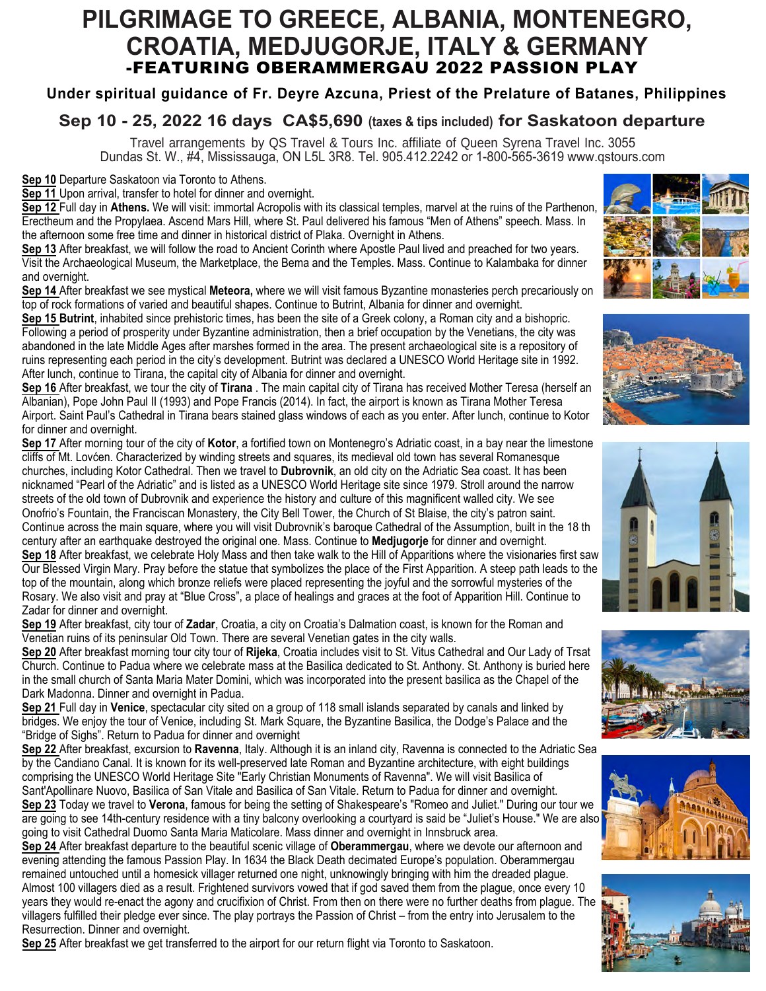# **PILGRIMAGE TO GREECE, ALBANIA, MONTENEGRO, CROATIA, MEDJUGORJE, ITALY & GERMANY** -FEATURING OBERAMMERGAU 2022 PASSION PLAY

### **Under spiritual guidance of Fr. Deyre Azcuna, Priest of the Prelature of Batanes, Philippines**

## **Sep 10 - 25, 2022 16 days CA\$5,690 (taxes & tips included) for Saskatoon departure**

Travel arrangements by QS Travel & Tours Inc. affiliate of Queen Syrena Travel Inc. 3055 Dundas St. W., #4, Mississauga, ON L5L 3R8. Tel. 905.412.2242 or 1-800-565-3619 www.qstours.com

**Sep 10** Departure Saskatoon via Toronto to Athens.

**Sep 11** Upon arrival, transfer to hotel for dinner and overnight.

**Sep 12** Full day in **Athens.** We will visit: immortal Acropolis with its classical temples, marvel at the ruins of the Parthenon, Erectheum and the Propylaea. Ascend Mars Hill, where St. Paul delivered his famous "Men of Athens" speech. Mass. In the afternoon some free time and dinner in historical district of Plaka. Overnight in Athens.

**Sep 13** After breakfast, we will follow the road to Ancient Corinth where Apostle Paul lived and preached for two years. Visit the Archaeological Museum, the Marketplace, the Bema and the Temples. Mass. Continue to Kalambaka for dinner and overnight.

**Sep 14** After breakfast we see mystical **Meteora,** where we will visit famous Byzantine monasteries perch precariously on top of rock formations of varied and beautiful shapes. Continue to Butrint, Albania for dinner and overnight.















**Sep 15 Butrint**, inhabited since prehistoric times, has been the site of a Greek colony, a Roman city and a bishopric. Following a period of prosperity under Byzantine administration, then a brief occupation by the Venetians, the city was abandoned in the late Middle Ages after marshes formed in the area. The present archaeological site is a repository of ruins representing each period in the city's development. Butrint was declared a UNESCO World Heritage site in 1992. After lunch, continue to Tirana, the capital city of Albania for dinner and overnight.

**Sep 16** After breakfast, we tour the city of **Tirana** . The main capital city of Tirana has received Mother Teresa (herself an Albanian), Pope John Paul II (1993) and Pope Francis (2014). In fact, the airport is known as Tirana Mother Teresa Airport. Saint Paul's Cathedral in Tirana bears stained glass windows of each as you enter. After lunch, continue to Kotor for dinner and overnight.

**Sep 17** After morning tour of the city of **Kotor**, a fortified town on Montenegro's Adriatic coast, in a bay near the limestone cliffs of Mt. Lovćen. Characterized by winding streets and squares, its medieval old town has several Romanesque churches, including Kotor Cathedral. Then we travel to **Dubrovnik**, an old city on the Adriatic Sea coast. It has been nicknamed "Pearl of the Adriatic" and is listed as a UNESCO World Heritage site since 1979. Stroll around the narrow streets of the old town of Dubrovnik and experience the history and culture of this magnificent walled city. We see Onofrio's Fountain, the Franciscan Monastery, the City Bell Tower, the Church of St Blaise, the city's patron saint. Continue across the main square, where you will visit Dubrovnik's baroque Cathedral of the Assumption, built in the 18 th century after an earthquake destroyed the original one. Mass. Continue to **Medjugorje** for dinner and overnight. **Sep 18** After breakfast, we celebrate Holy Mass and then take walk to the Hill of Apparitions where the visionaries first saw Our Blessed Virgin Mary. Pray before the statue that symbolizes the place of the First Apparition. A steep path leads to the top of the mountain, along which bronze reliefs were placed representing the joyful and the sorrowful mysteries of the Rosary. We also visit and pray at "Blue Cross", a place of healings and graces at the foot of Apparition Hill. Continue to Zadar for dinner and overnight.

**Sep 19** After breakfast, city tour of **Zadar**, Croatia, a city on Croatia's Dalmation coast, is known for the Roman and Venetian ruins of its peninsular Old Town. There are several Venetian gates in the city walls.

**Sep 20** After breakfast morning tour city tour of **Rijeka**, Croatia includes visit to St. Vitus Cathedral and Our Lady of Trsat Church. Continue to Padua where we celebrate mass at the Basilica dedicated to St. Anthony. St. Anthony is buried here in the small church of Santa Maria Mater Domini, which was incorporated into the present basilica as the Chapel of the Dark Madonna. Dinner and overnight in Padua.

**Sep 21** Full day in **Venice**, spectacular city sited on a group of 118 small islands separated by canals and linked by bridges. We enjoy the tour of Venice, including St. Mark Square, the Byzantine Basilica, the Dodge's Palace and the "Bridge of Sighs". Return to Padua for dinner and overnight

**Sep 22** After breakfast, excursion to **Ravenna**, Italy. Although it is an inland city, Ravenna is connected to the Adriatic Sea by the Candiano Canal. It is known for its well-preserved late Roman and Byzantine architecture, with eight buildings comprising the UNESCO World Heritage Site "Early Christian Monuments of Ravenna". We will visit Basilica of Sant'Apollinare Nuovo, Basilica of San Vitale and Basilica of San Vitale. Return to Padua for dinner and overnight. **Sep 23** Today we travel to **Verona**, famous for being the setting of Shakespeare's "Romeo and Juliet." During our tour we are going to see 14th-century residence with a tiny balcony overlooking a courtyard is said be "Juliet's House." We are also

going to visit Cathedral Duomo Santa Maria Maticolare. Mass dinner and overnight in Innsbruck area.

**Sep 24** After breakfast departure to the beautiful scenic village of **Oberammergau**, where we devote our afternoon and evening attending the famous Passion Play. In 1634 the Black Death decimated Europe's population. Oberammergau remained untouched until a homesick villager returned one night, unknowingly bringing with him the dreaded plague. Almost 100 villagers died as a result. Frightened survivors vowed that if god saved them from the plague, once every 10 years they would re-enact the agony and crucifixion of Christ. From then on there were no further deaths from plague. The villagers fulfilled their pledge ever since. The play portrays the Passion of Christ – from the entry into Jerusalem to the Resurrection. Dinner and overnight.

**Sep 25** After breakfast we get transferred to the airport for our return flight via Toronto to Saskatoon.